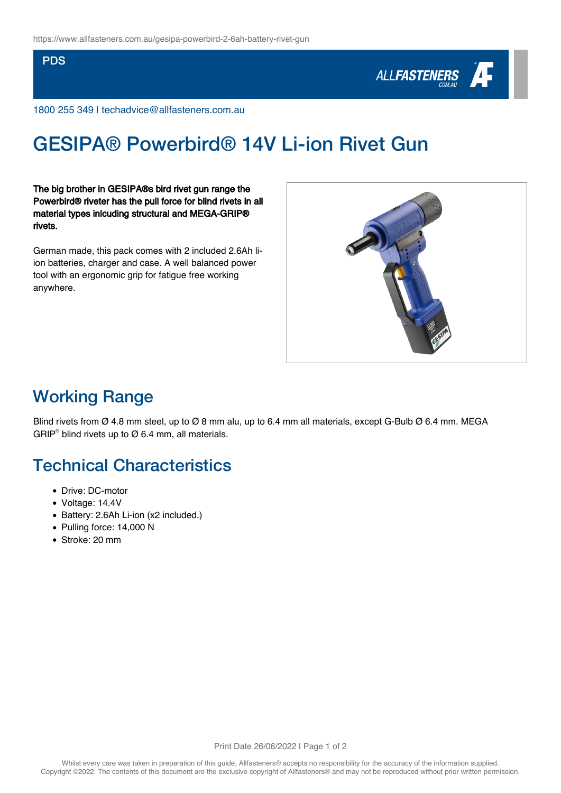#### PDS



1800 255 349 | techadvice@allfasteners.com.au

# GESIPA® Powerbird® 14V Li-ion Rivet Gun

The big brother in GESIPA®s bird rivet gun range the Powerbird® riveter has the pull force for blind rivets in all material types inlcuding structural and MEGA-GRIP® rivets.

German made, this pack comes with 2 included 2.6Ah liion batteries, charger and case. A well balanced power tool with an ergonomic grip for fatigue free working anywhere.



### Working Range

Blind rivets from Ø 4.8 mm steel, up to Ø 8 mm alu, up to 6.4 mm all materials, except G-Bulb Ø 6.4 mm. MEGA GRIP<sup>®</sup> blind rivets up to  $\varnothing$  6.4 mm, all materials.

#### Technical Characteristics

- Drive: DC-motor
- Voltage: 14.4V
- Battery: 2.6Ah Li-ion (x2 included.)
- Pulling force: 14,000 N
- Stroke: 20 mm